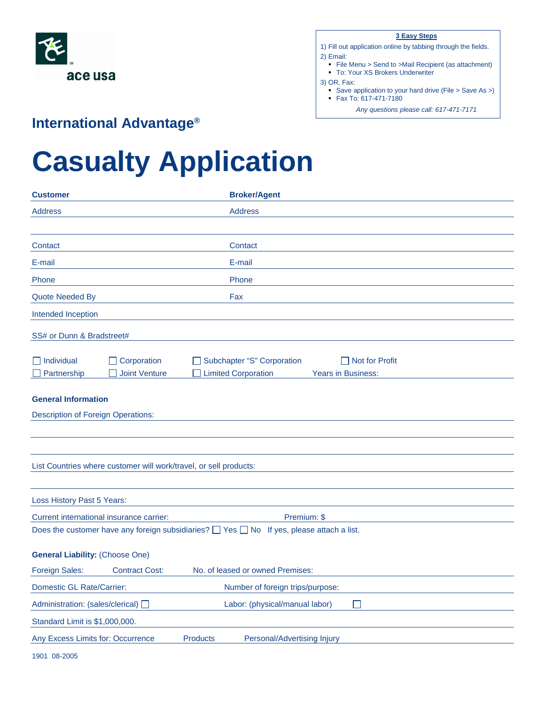

|  | ٠ |
|--|---|
|  |   |

- 1) Fill out application online by tabbing through the fields. 2) Email:
	- File Menu > Send to > Mail Recipient (as attachment)
	- To: Your XS Brokers Underwriter
- 3) OR, Fax:
	- Save application to your hard drive (File > Save As >)
	- Fax To: 617-471-7180
		- *Any questions please call: 617-471-7171*

## **International Advantage®**

## **Casualty Application**

| Customer                                                                       | <b>Broker/Agent</b>                                                                                     |  |
|--------------------------------------------------------------------------------|---------------------------------------------------------------------------------------------------------|--|
| <b>Address</b>                                                                 | <b>Address</b>                                                                                          |  |
|                                                                                |                                                                                                         |  |
| Contact                                                                        | Contact                                                                                                 |  |
| E-mail                                                                         | E-mail                                                                                                  |  |
| Phone                                                                          | Phone                                                                                                   |  |
| Quote Needed By                                                                | Fax                                                                                                     |  |
| Intended Inception                                                             |                                                                                                         |  |
| SS# or Dunn & Bradstreet#                                                      |                                                                                                         |  |
|                                                                                |                                                                                                         |  |
| $\Box$ Individual<br>$\Box$ Corporation<br>Joint Venture<br>$\Box$ Partnership | Subchapter "S" Corporation<br>$\Box$ Not for Profit<br><b>Limited Corporation</b><br>Years in Business: |  |
|                                                                                |                                                                                                         |  |
| <b>General Information</b>                                                     |                                                                                                         |  |
| <b>Description of Foreign Operations:</b>                                      |                                                                                                         |  |
|                                                                                |                                                                                                         |  |
|                                                                                |                                                                                                         |  |
| List Countries where customer will work/travel, or sell products:              |                                                                                                         |  |
|                                                                                |                                                                                                         |  |
| Loss History Past 5 Years:                                                     |                                                                                                         |  |
| Current international insurance carrier:                                       | Premium: \$                                                                                             |  |
|                                                                                | Does the customer have any foreign subsidiaries? $\Box$ Yes $\Box$ No If yes, please attach a list.     |  |
| <b>General Liability: (Choose One)</b>                                         |                                                                                                         |  |
| Foreign Sales:<br><b>Contract Cost:</b>                                        | No. of leased or owned Premises:                                                                        |  |
| <b>Domestic GL Rate/Carrier:</b>                                               | Number of foreign trips/purpose:                                                                        |  |
| Administration: (sales/clerical) □                                             | Labor: (physical/manual labor)<br>$\mathbf{I}$                                                          |  |
| Standard Limit is \$1,000,000.                                                 |                                                                                                         |  |
| Any Excess Limits for: Occurrence                                              | <b>Products</b><br>Personal/Advertising Injury                                                          |  |
|                                                                                |                                                                                                         |  |